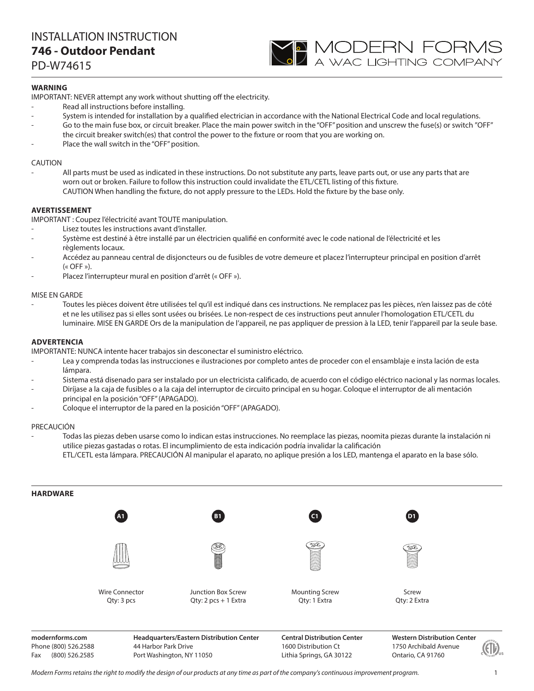## INSTALLATION INSTRUCTION **746 - Outdoor Pendant**

PD-W74615

## **WARNING**

IMPORTANT: NEVER attempt any work without shutting off the electricity.

- Read all instructions before installing.
- System is intended for installation by a qualified electrician in accordance with the National Electrical Code and local regulations.

**YO MODERN FORMS**<br>A wac lighting company

- Go to the main fuse box, or circuit breaker. Place the main power switch in the "OFF" position and unscrew the fuse(s) or switch "OFF" the circuit breaker switch(es) that control the power to the fixture or room that you are working on.
- Place the wall switch in the "OFF" position.

### CAUTION

All parts must be used as indicated in these instructions. Do not substitute any parts, leave parts out, or use any parts that are worn out or broken. Failure to follow this instruction could invalidate the ETL/CETL listing of this fixture. CAUTION When handling the fixture, do not apply pressure to the LEDs. Hold the fixture by the base only.

### **AVERTISSEMENT**

IMPORTANT : Coupez l'électricité avant TOUTE manipulation.

- Lisez toutes les instructions avant d'installer.
- Système est destiné à être installé par un électricien qualifié en conformité avec le code national de l'électricité et les règlements locaux.
- Accédez au panneau central de disjoncteurs ou de fusibles de votre demeure et placez l'interrupteur principal en position d'arrêt  $(\kappa$  OFF »).
- Placez l'interrupteur mural en position d'arrêt (« OFF »).

### MISE EN GARDE

- Toutes les pièces doivent être utilisées tel qu'il est indiqué dans ces instructions. Ne remplacez pas les pièces, n'en laissez pas de côté et ne les utilisez pas si elles sont usées ou brisées. Le non-respect de ces instructions peut annuler l'homologation ETL/CETL du luminaire. MISE EN GARDE Ors de la manipulation de l'appareil, ne pas appliquer de pression à la LED, tenir l'appareil par la seule base.

### **ADVERTENCIA**

IMPORTANTE: NUNCA intente hacer trabajos sin desconectar el suministro eléctrico.

- Lea y comprenda todas las instrucciones e ilustraciones por completo antes de proceder con el ensamblaje e insta lación de esta lámpara.
- Sistema está disenado para ser instalado por un electricista calificado, de acuerdo con el código eléctrico nacional y las normas locales.
- Diríjase a la caja de fusibles o a la caja del interruptor de circuito principal en su hogar. Coloque el interruptor de ali mentación principal en la posición "OFF" (APAGADO).
- Coloque el interruptor de la pared en la posición "OFF" (APAGADO).

### PRECAUCIÓN

- Todas las piezas deben usarse como lo indican estas instrucciones. No reemplace las piezas, noomita piezas durante la instalación ni utilice piezas gastadas o rotas. El incumplimiento de esta indicación podría invalidar la calificación ETL/CETL esta lámpara. PRECAUCIÓN Al manipular el aparato, no aplique presión a los LED, mantenga el aparato en la base sólo.